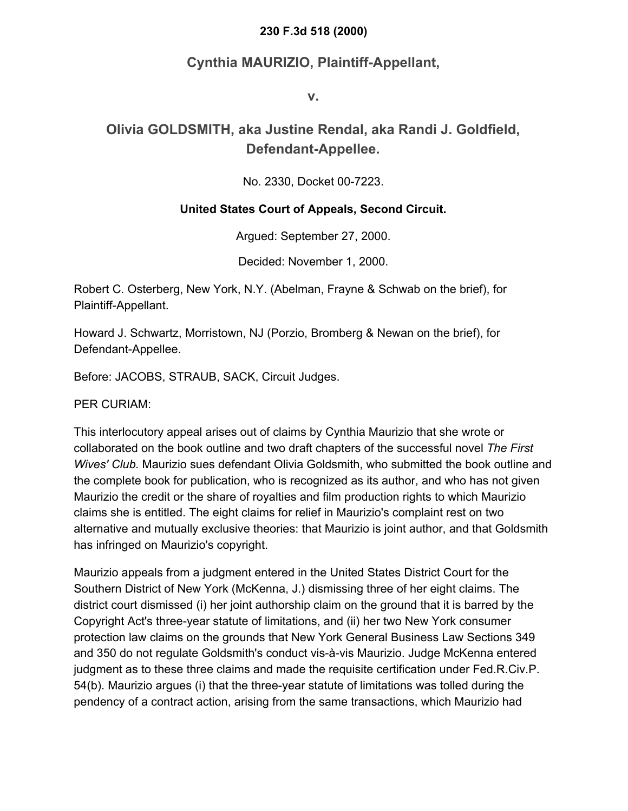#### **230 F.3d 518 (2000)**

### **Cynthia MAURIZIO, Plaintiff-Appellant,**

**v.**

## **Olivia GOLDSMITH, aka Justine Rendal, aka Randi J. Goldfield, Defendant-Appellee.**

No. 2330, Docket 00-7223.

#### **United States Court of Appeals, Second Circuit.**

Argued: September 27, 2000.

Decided: November 1, 2000.

Robert C. Osterberg, New York, N.Y. (Abelman, Frayne & Schwab on the brief), for Plaintiff-Appellant.

Howard J. Schwartz, Morristown, NJ (Porzio, Bromberg & Newan on the brief), for Defendant-Appellee.

Before: JACOBS, STRAUB, SACK, Circuit Judges.

PER CURIAM:

This interlocutory appeal arises out of claims by Cynthia Maurizio that she wrote or collaborated on the book outline and two draft chapters of the successful novel *The First Wives' Club.* Maurizio sues defendant Olivia Goldsmith, who submitted the book outline and the complete book for publication, who is recognized as its author, and who has not given Maurizio the credit or the share of royalties and film production rights to which Maurizio claims she is entitled. The eight claims for relief in Maurizio's complaint rest on two alternative and mutually exclusive theories: that Maurizio is joint author, and that Goldsmith has infringed on Maurizio's copyright.

Maurizio appeals from a judgment entered in the United States District Court for the Southern District of New York (McKenna, J.) dismissing three of her eight claims. The district court dismissed (i) her joint authorship claim on the ground that it is barred by the Copyright Act's three-year statute of limitations, and (ii) her two New York consumer protection law claims on the grounds that New York General Business Law Sections 349 and 350 do not regulate Goldsmith's conduct vis-à-vis Maurizio. Judge McKenna entered judgment as to these three claims and made the requisite certification under Fed.R.Civ.P. 54(b). Maurizio argues (i) that the three-year statute of limitations was tolled during the pendency of a contract action, arising from the same transactions, which Maurizio had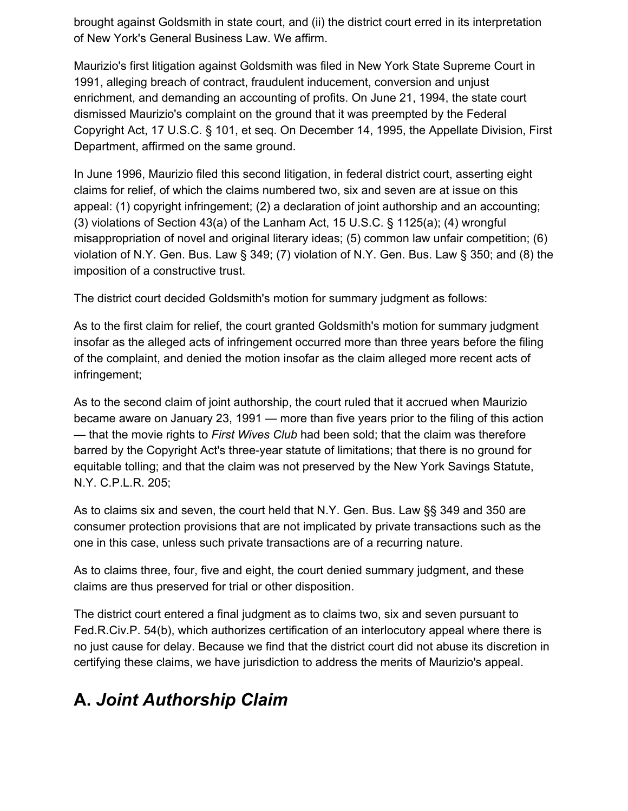brought against Goldsmith in state court, and (ii) the district court erred in its interpretation of New York's General Business Law. We affirm.

Maurizio's first litigation against Goldsmith was filed in New York State Supreme Court in 1991, alleging breach of contract, fraudulent inducement, conversion and unjust enrichment, and demanding an accounting of profits. On June 21, 1994, the state court dismissed Maurizio's complaint on the ground that it was preempted by the Federal Copyright Act, 17 U.S.C. § 101, et seq. On December 14, 1995, the Appellate Division, First Department, affirmed on the same ground.

In June 1996, Maurizio filed this second litigation, in federal district court, asserting eight claims for relief, of which the claims numbered two, six and seven are at issue on this appeal: (1) copyright infringement; (2) a declaration of joint authorship and an accounting; (3) violations of Section 43(a) of the Lanham Act, 15 U.S.C. § 1125(a); (4) wrongful misappropriation of novel and original literary ideas; (5) common law unfair competition; (6) violation of N.Y. Gen. Bus. Law § 349; (7) violation of N.Y. Gen. Bus. Law § 350; and (8) the imposition of a constructive trust.

The district court decided Goldsmith's motion for summary judgment as follows:

As to the first claim for relief, the court granted Goldsmith's motion for summary judgment insofar as the alleged acts of infringement occurred more than three years before the filing of the complaint, and denied the motion insofar as the claim alleged more recent acts of infringement;

As to the second claim of joint authorship, the court ruled that it accrued when Maurizio became aware on January 23, 1991 — more than five years prior to the filing of this action — that the movie rights to *First Wives Club* had been sold; that the claim was therefore barred by the Copyright Act's three-year statute of limitations; that there is no ground for equitable tolling; and that the claim was not preserved by the New York Savings Statute, N.Y. C.P.L.R. 205;

As to claims six and seven, the court held that N.Y. Gen. Bus. Law §§ 349 and 350 are consumer protection provisions that are not implicated by private transactions such as the one in this case, unless such private transactions are of a recurring nature.

As to claims three, four, five and eight, the court denied summary judgment, and these claims are thus preserved for trial or other disposition.

The district court entered a final judgment as to claims two, six and seven pursuant to Fed.R.Civ.P. 54(b), which authorizes certification of an interlocutory appeal where there is no just cause for delay. Because we find that the district court did not abuse its discretion in certifying these claims, we have jurisdiction to address the merits of Maurizio's appeal.

# **A.** *Joint Authorship Claim*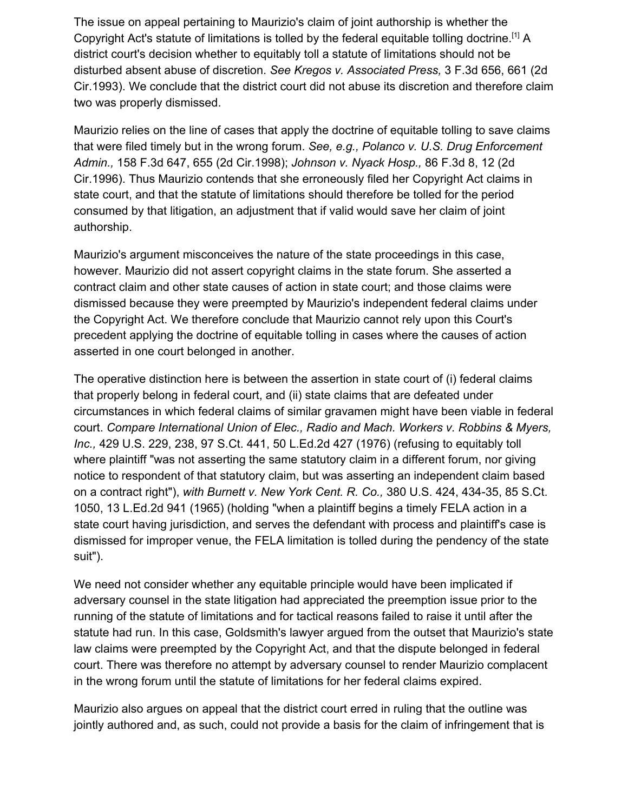The issue on appeal pertaining to Maurizio's claim of joint authorship is whether the Copyright Act's statute of limitations is tolled by the federal equitable tolling doctrine.[1] A district court's decision whether to equitably toll a statute of limitations should not be disturbed absent abuse of discretion. *See Kregos v. Associated Press,* 3 F.3d 656, 661 (2d Cir.1993). We conclude that the district court did not abuse its discretion and therefore claim two was properly dismissed.

Maurizio relies on the line of cases that apply the doctrine of equitable tolling to save claims that were filed timely but in the wrong forum. *See, e.g., Polanco v. U.S. Drug Enforcement Admin.,* 158 F.3d 647, 655 (2d Cir.1998); *Johnson v. Nyack Hosp.,* 86 F.3d 8, 12 (2d Cir.1996). Thus Maurizio contends that she erroneously filed her Copyright Act claims in state court, and that the statute of limitations should therefore be tolled for the period consumed by that litigation, an adjustment that if valid would save her claim of joint authorship.

Maurizio's argument misconceives the nature of the state proceedings in this case, however. Maurizio did not assert copyright claims in the state forum. She asserted a contract claim and other state causes of action in state court; and those claims were dismissed because they were preempted by Maurizio's independent federal claims under the Copyright Act. We therefore conclude that Maurizio cannot rely upon this Court's precedent applying the doctrine of equitable tolling in cases where the causes of action asserted in one court belonged in another.

The operative distinction here is between the assertion in state court of (i) federal claims that properly belong in federal court, and (ii) state claims that are defeated under circumstances in which federal claims of similar gravamen might have been viable in federal court. *Compare International Union of Elec., Radio and Mach. Workers v. Robbins & Myers, Inc.,* 429 U.S. 229, 238, 97 S.Ct. 441, 50 L.Ed.2d 427 (1976) (refusing to equitably toll where plaintiff "was not asserting the same statutory claim in a different forum, nor giving notice to respondent of that statutory claim, but was asserting an independent claim based on a contract right"), *with Burnett v. New York Cent. R. Co.,* 380 U.S. 424, 434-35, 85 S.Ct. 1050, 13 L.Ed.2d 941 (1965) (holding "when a plaintiff begins a timely FELA action in a state court having jurisdiction, and serves the defendant with process and plaintiff's case is dismissed for improper venue, the FELA limitation is tolled during the pendency of the state suit").

We need not consider whether any equitable principle would have been implicated if adversary counsel in the state litigation had appreciated the preemption issue prior to the running of the statute of limitations and for tactical reasons failed to raise it until after the statute had run. In this case, Goldsmith's lawyer argued from the outset that Maurizio's state law claims were preempted by the Copyright Act, and that the dispute belonged in federal court. There was therefore no attempt by adversary counsel to render Maurizio complacent in the wrong forum until the statute of limitations for her federal claims expired.

Maurizio also argues on appeal that the district court erred in ruling that the outline was jointly authored and, as such, could not provide a basis for the claim of infringement that is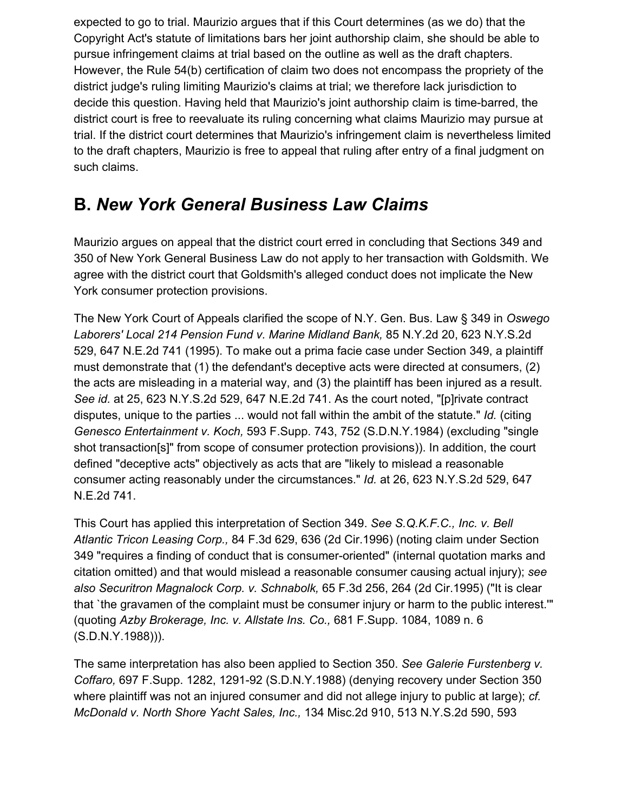expected to go to trial. Maurizio argues that if this Court determines (as we do) that the Copyright Act's statute of limitations bars her joint authorship claim, she should be able to pursue infringement claims at trial based on the outline as well as the draft chapters. However, the Rule 54(b) certification of claim two does not encompass the propriety of the district judge's ruling limiting Maurizio's claims at trial; we therefore lack jurisdiction to decide this question. Having held that Maurizio's joint authorship claim is time-barred, the district court is free to reevaluate its ruling concerning what claims Maurizio may pursue at trial. If the district court determines that Maurizio's infringement claim is nevertheless limited to the draft chapters, Maurizio is free to appeal that ruling after entry of a final judgment on such claims.

## **B.** *New York General Business Law Claims*

Maurizio argues on appeal that the district court erred in concluding that Sections 349 and 350 of New York General Business Law do not apply to her transaction with Goldsmith. We agree with the district court that Goldsmith's alleged conduct does not implicate the New York consumer protection provisions.

The New York Court of Appeals clarified the scope of N.Y. Gen. Bus. Law § 349 in *Oswego Laborers' Local 214 Pension Fund v. Marine Midland Bank,* 85 N.Y.2d 20, 623 N.Y.S.2d 529, 647 N.E.2d 741 (1995). To make out a prima facie case under Section 349, a plaintiff must demonstrate that (1) the defendant's deceptive acts were directed at consumers, (2) the acts are misleading in a material way, and (3) the plaintiff has been injured as a result. *See id.* at 25, 623 N.Y.S.2d 529, 647 N.E.2d 741. As the court noted, "[p]rivate contract disputes, unique to the parties ... would not fall within the ambit of the statute." *Id.* (citing *Genesco Entertainment v. Koch,* 593 F.Supp. 743, 752 (S.D.N.Y.1984) (excluding "single shot transaction[s]" from scope of consumer protection provisions)). In addition, the court defined "deceptive acts" objectively as acts that are "likely to mislead a reasonable consumer acting reasonably under the circumstances." *Id.* at 26, 623 N.Y.S.2d 529, 647 N.E.2d 741.

This Court has applied this interpretation of Section 349. *See S.Q.K.F.C., Inc. v. Bell Atlantic Tricon Leasing Corp.,* 84 F.3d 629, 636 (2d Cir.1996) (noting claim under Section 349 "requires a finding of conduct that is consumer-oriented" (internal quotation marks and citation omitted) and that would mislead a reasonable consumer causing actual injury); *see also Securitron Magnalock Corp. v. Schnabolk,* 65 F.3d 256, 264 (2d Cir.1995) ("It is clear that `the gravamen of the complaint must be consumer injury or harm to the public interest.'" (quoting *Azby Brokerage, Inc. v. Allstate Ins. Co.,* 681 F.Supp. 1084, 1089 n. 6 (S.D.N.Y.1988))).

The same interpretation has also been applied to Section 350. *See Galerie Furstenberg v. Coffaro,* 697 F.Supp. 1282, 1291-92 (S.D.N.Y.1988) (denying recovery under Section 350 where plaintiff was not an injured consumer and did not allege injury to public at large); *cf. McDonald v. North Shore Yacht Sales, Inc.,* 134 Misc.2d 910, 513 N.Y.S.2d 590, 593